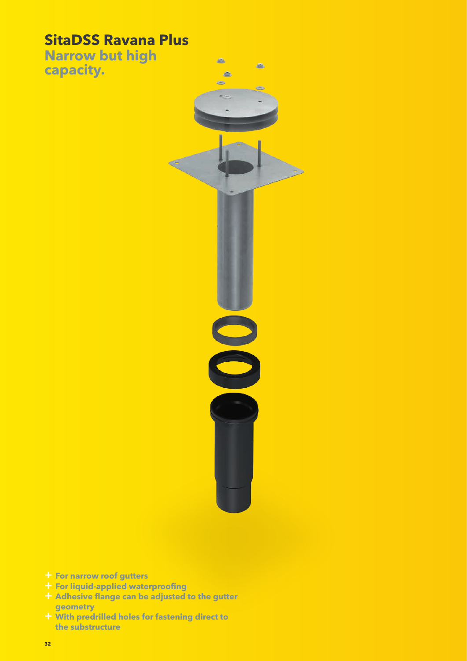## **SitaDSS Ravana Plus**

**Narrow but high capacity.**



- + **For narrow roof gutters**
- + **For liquid-applied waterproofing**
- + **Adhesive flange can be adjusted to the gutter geometry**
- + **With predrilled holes for fastening direct to the substructure**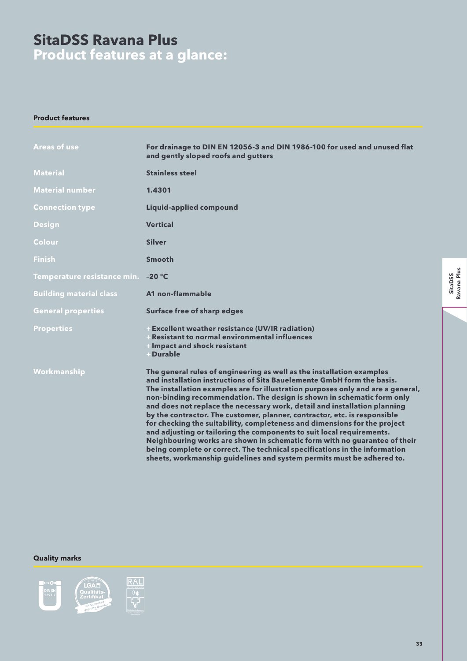## **SitaDSS Ravana Plus**

**Product features at a glance:**

#### **Product features**

| <b>Areas of use</b>            | For drainage to DIN EN 12056-3 and DIN 1986-100 for used and unused flat<br>and gently sloped roofs and gutters                                                                                                                                                                                                                                                                                                                                                                                                                                                                                                                                                                                                                                                                                                                                                  |  |  |
|--------------------------------|------------------------------------------------------------------------------------------------------------------------------------------------------------------------------------------------------------------------------------------------------------------------------------------------------------------------------------------------------------------------------------------------------------------------------------------------------------------------------------------------------------------------------------------------------------------------------------------------------------------------------------------------------------------------------------------------------------------------------------------------------------------------------------------------------------------------------------------------------------------|--|--|
| <b>Material</b>                | <b>Stainless steel</b>                                                                                                                                                                                                                                                                                                                                                                                                                                                                                                                                                                                                                                                                                                                                                                                                                                           |  |  |
| <b>Material number</b>         | 1.4301                                                                                                                                                                                                                                                                                                                                                                                                                                                                                                                                                                                                                                                                                                                                                                                                                                                           |  |  |
| <b>Connection type</b>         | <b>Liquid-applied compound</b>                                                                                                                                                                                                                                                                                                                                                                                                                                                                                                                                                                                                                                                                                                                                                                                                                                   |  |  |
| <b>Design</b>                  | <b>Vertical</b>                                                                                                                                                                                                                                                                                                                                                                                                                                                                                                                                                                                                                                                                                                                                                                                                                                                  |  |  |
| Colour                         | <b>Silver</b>                                                                                                                                                                                                                                                                                                                                                                                                                                                                                                                                                                                                                                                                                                                                                                                                                                                    |  |  |
| <b>Finish</b>                  | <b>Smooth</b>                                                                                                                                                                                                                                                                                                                                                                                                                                                                                                                                                                                                                                                                                                                                                                                                                                                    |  |  |
| Temperature resistance min.    | $-20 °C$                                                                                                                                                                                                                                                                                                                                                                                                                                                                                                                                                                                                                                                                                                                                                                                                                                                         |  |  |
| <b>Building material class</b> | A1 non-flammable                                                                                                                                                                                                                                                                                                                                                                                                                                                                                                                                                                                                                                                                                                                                                                                                                                                 |  |  |
| <b>General properties</b>      | <b>Surface free of sharp edges</b>                                                                                                                                                                                                                                                                                                                                                                                                                                                                                                                                                                                                                                                                                                                                                                                                                               |  |  |
| <b>Properties</b>              | <b>Excellent weather resistance (UV/IR radiation)</b><br>Resistant to normal environmental influences<br><b>HIMPACT and shock resistant</b><br><b>Durable</b>                                                                                                                                                                                                                                                                                                                                                                                                                                                                                                                                                                                                                                                                                                    |  |  |
| Workmanship                    | The general rules of engineering as well as the installation examples<br>and installation instructions of Sita Bauelemente GmbH form the basis.<br>The installation examples are for illustration purposes only and are a general,<br>non-binding recommendation. The design is shown in schematic form only<br>and does not replace the necessary work, detail and installation planning<br>by the contractor. The customer, planner, contractor, etc. is responsible<br>for checking the suitability, completeness and dimensions for the project<br>and adjusting or tailoring the components to suit local requirements.<br>Neighbouring works are shown in schematic form with no guarantee of their<br>being complete or correct. The technical specifications in the information<br>sheets, workmanship guidelines and system permits must be adhered to. |  |  |

### **Quality marks**



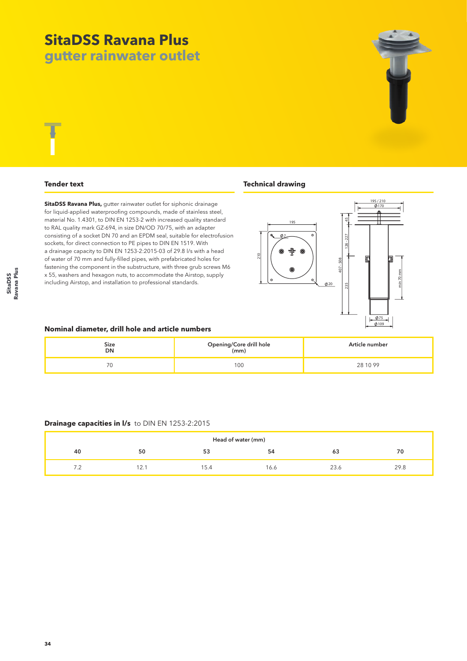# **SitaDSS Ravana Plus**

**gutter rainwater outlet**



**SitaDSS Ravana Plus,** gutter rainwater outlet for siphonic drainage for liquid-applied waterproofing compounds, made of stainless steel, material No. 1.4301, to DIN EN 1253-2 with increased quality standard to RAL quality mark GZ-694, in size DN/OD 70/75, with an adapter consisting of a socket DN 70 and an EPDM seal, suitable for electrofusion sockets, for direct connection to PE pipes to DIN EN 1519. With a drainage capacity to DIN EN 1253-2:2015-03 of 29.8 l/s with a head of water of 70 mm and fully-filled pipes, with prefabricated holes for fastening the component in the substructure, with three grub screws M6 x 55, washers and hexagon nuts, to accommodate the Airstop, supply including Airstop, and installation to professional standards.

#### **Tender text Technical drawing**



#### **Nominal diameter, drill hole and article numbers**

| Size<br>DN | Opening/Core drill hole<br>(mm) | Article number |  |
|------------|---------------------------------|----------------|--|
| ◡          | 100                             | 28 10 99       |  |

#### **Drainage capacities in l/s** to DIN EN 1253-2:2015

| Head of water (mm) |            |      |      |      |      |  |  |
|--------------------|------------|------|------|------|------|--|--|
| 40                 | 50         | 53   | 54   | 63   | 70   |  |  |
|                    | $\sim$ 4.1 | 15.4 | 16.6 | 23.6 | 29.8 |  |  |